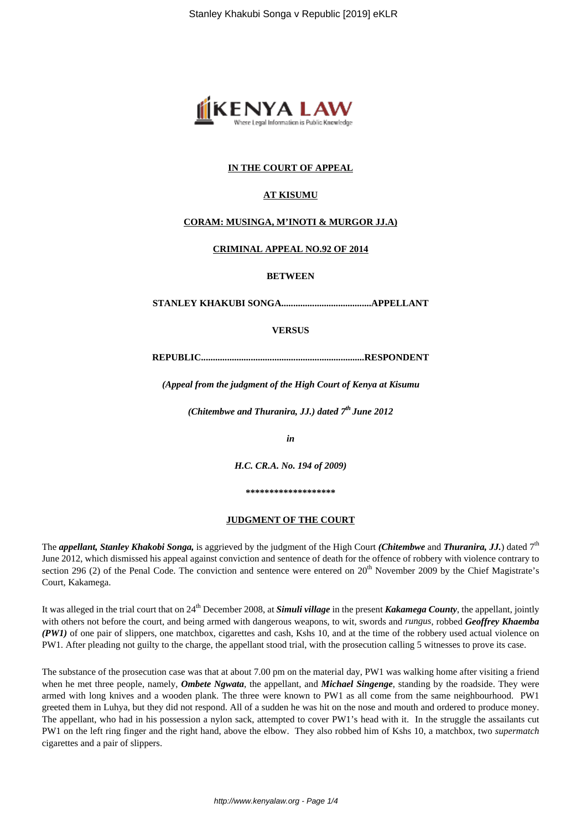

## **IN THE COURT OF APPEAL**

## **AT KISUMU**

### **CORAM: MUSINGA, M'INOTI & MURGOR JJ.A)**

### **CRIMINAL APPEAL NO.92 OF 2014**

**BETWEEN**

**STANLEY KHAKUBI SONGA......................................APPELLANT**

# **VERSUS**

**REPUBLIC.....................................................................RESPONDENT**

*(Appeal from the judgment of the High Court of Kenya at Kisumu*

*(Chitembwe and Thuranira, JJ.) dated 7th June 2012*

*in*

*H.C. CR.A. No. 194 of 2009)*

**\*\*\*\*\*\*\*\*\*\*\*\*\*\*\*\*\*\*\***

#### **JUDGMENT OF THE COURT**

The *appellant, Stanley Khakobi Songa,* is aggrieved by the judgment of the High Court *(Chitembwe* and *Thuranira, JJ.*) dated 7th June 2012, which dismissed his appeal against conviction and sentence of death for the offence of robbery with violence contrary to section 296 (2) of the Penal Code. The conviction and sentence were entered on 20<sup>th</sup> November 2009 by the Chief Magistrate's Court, Kakamega.

It was alleged in the trial court that on 24<sup>th</sup> December 2008, at *Simuli village* in the present *Kakamega County*, the appellant, jointly with others not before the court, and being armed with dangerous weapons, to wit, swords and *rungus*, robbed *Geoffrey Khaemba (PW1)* of one pair of slippers, one matchbox, cigarettes and cash, Kshs 10, and at the time of the robbery used actual violence on PW1. After pleading not guilty to the charge, the appellant stood trial, with the prosecution calling 5 witnesses to prove its case.

The substance of the prosecution case was that at about 7.00 pm on the material day, PW1 was walking home after visiting a friend when he met three people, namely, *Ombete Ngwata*, the appellant, and *Michael Singenge*, standing by the roadside. They were armed with long knives and a wooden plank. The three were known to PW1 as all come from the same neighbourhood. PW1 greeted them in Luhya, but they did not respond. All of a sudden he was hit on the nose and mouth and ordered to produce money. The appellant, who had in his possession a nylon sack, attempted to cover PW1's head with it. In the struggle the assailants cut PW1 on the left ring finger and the right hand, above the elbow. They also robbed him of Kshs 10, a matchbox, two *supermatch* cigarettes and a pair of slippers.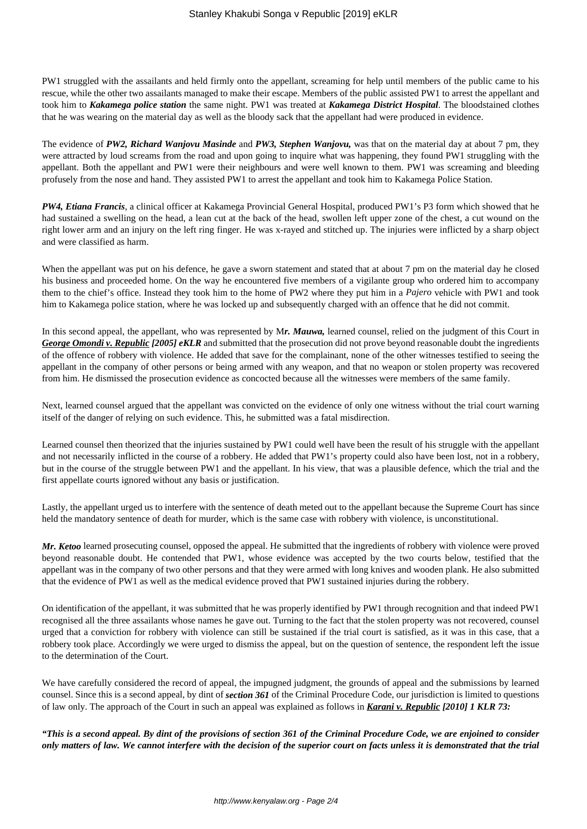PW1 struggled with the assailants and held firmly onto the appellant, screaming for help until members of the public came to his rescue, while the other two assailants managed to make their escape. Members of the public assisted PW1 to arrest the appellant and took him to *Kakamega police station* the same night. PW1 was treated at *Kakamega District Hospital*. The bloodstained clothes that he was wearing on the material day as well as the bloody sack that the appellant had were produced in evidence.

The evidence of *PW2, Richard Wanjovu Masinde* and *PW3, Stephen Wanjovu,* was that on the material day at about 7 pm, they were attracted by loud screams from the road and upon going to inquire what was happening, they found PW1 struggling with the appellant. Both the appellant and PW1 were their neighbours and were well known to them. PW1 was screaming and bleeding profusely from the nose and hand. They assisted PW1 to arrest the appellant and took him to Kakamega Police Station.

*PW4, Etiana Francis*, a clinical officer at Kakamega Provincial General Hospital, produced PW1's P3 form which showed that he had sustained a swelling on the head, a lean cut at the back of the head, swollen left upper zone of the chest, a cut wound on the right lower arm and an injury on the left ring finger. He was x-rayed and stitched up. The injuries were inflicted by a sharp object and were classified as harm.

When the appellant was put on his defence, he gave a sworn statement and stated that at about 7 pm on the material day he closed his business and proceeded home. On the way he encountered five members of a vigilante group who ordered him to accompany them to the chief's office. Instead they took him to the home of PW2 where they put him in a *Pajero* vehicle with PW1 and took him to Kakamega police station, where he was locked up and subsequently charged with an offence that he did not commit.

In this second appeal, the appellant, who was represented by M*r. Mauwa,* learned counsel, relied on the judgment of this Court in *George Omondi v. Republic [2005] eKLR* and submitted that the prosecution did not prove beyond reasonable doubt the ingredients of the offence of robbery with violence. He added that save for the complainant, none of the other witnesses testified to seeing the appellant in the company of other persons or being armed with any weapon, and that no weapon or stolen property was recovered from him. He dismissed the prosecution evidence as concocted because all the witnesses were members of the same family.

Next, learned counsel argued that the appellant was convicted on the evidence of only one witness without the trial court warning itself of the danger of relying on such evidence. This, he submitted was a fatal misdirection.

Learned counsel then theorized that the injuries sustained by PW1 could well have been the result of his struggle with the appellant and not necessarily inflicted in the course of a robbery. He added that PW1's property could also have been lost, not in a robbery, but in the course of the struggle between PW1 and the appellant. In his view, that was a plausible defence, which the trial and the first appellate courts ignored without any basis or justification.

Lastly, the appellant urged us to interfere with the sentence of death meted out to the appellant because the Supreme Court has since held the mandatory sentence of death for murder, which is the same case with robbery with violence, is unconstitutional.

*Mr. Ketoo* learned prosecuting counsel, opposed the appeal. He submitted that the ingredients of robbery with violence were proved beyond reasonable doubt. He contended that PW1, whose evidence was accepted by the two courts below, testified that the appellant was in the company of two other persons and that they were armed with long knives and wooden plank. He also submitted that the evidence of PW1 as well as the medical evidence proved that PW1 sustained injuries during the robbery.

On identification of the appellant, it was submitted that he was properly identified by PW1 through recognition and that indeed PW1 recognised all the three assailants whose names he gave out. Turning to the fact that the stolen property was not recovered, counsel urged that a conviction for robbery with violence can still be sustained if the trial court is satisfied, as it was in this case, that a robbery took place. Accordingly we were urged to dismiss the appeal, but on the question of sentence, the respondent left the issue to the determination of the Court.

We have carefully considered the record of appeal, the impugned judgment, the grounds of appeal and the submissions by learned counsel. Since this is a second appeal, by dint of *section 361* of the Criminal Procedure Code, our jurisdiction is limited to questions of law only. The approach of the Court in such an appeal was explained as follows in *Karani v. Republic [2010] 1 KLR 73:*

*"This is a second appeal. By dint of the provisions of section 361 of the Criminal Procedure Code, we are enjoined to consider only matters of law. We cannot interfere with the decision of the superior court on facts unless it is demonstrated that the trial*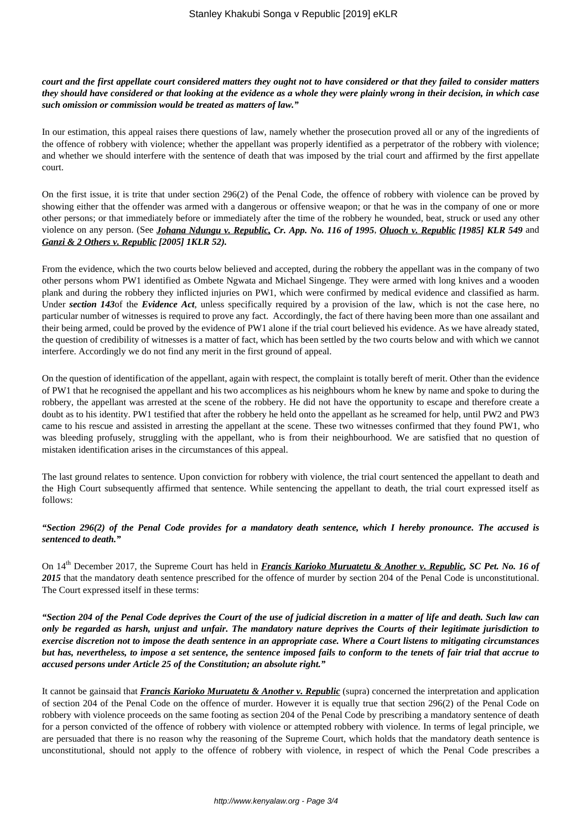### *court and the first appellate court considered matters they ought not to have considered or that they failed to consider matters they should have considered or that looking at the evidence as a whole they were plainly wrong in their decision, in which case such omission or commission would be treated as matters of law."*

In our estimation, this appeal raises there questions of law, namely whether the prosecution proved all or any of the ingredients of the offence of robbery with violence; whether the appellant was properly identified as a perpetrator of the robbery with violence; and whether we should interfere with the sentence of death that was imposed by the trial court and affirmed by the first appellate court.

On the first issue, it is trite that under section 296(2) of the Penal Code, the offence of robbery with violence can be proved by showing either that the offender was armed with a dangerous or offensive weapon; or that he was in the company of one or more other persons; or that immediately before or immediately after the time of the robbery he wounded, beat, struck or used any other violence on any person. (See *Johana Ndungu v. Republic, Cr. App. No. 116 of 1995*, *Oluoch v. Republic [1985] KLR 549* and *Ganzi & 2 Others v. Republic [2005] 1KLR 52).*

From the evidence, which the two courts below believed and accepted, during the robbery the appellant was in the company of two other persons whom PW1 identified as Ombete Ngwata and Michael Singenge. They were armed with long knives and a wooden plank and during the robbery they inflicted injuries on PW1, which were confirmed by medical evidence and classified as harm. Under *section 143*of the *Evidence Act*, unless specifically required by a provision of the law, which is not the case here, no particular number of witnesses is required to prove any fact. Accordingly, the fact of there having been more than one assailant and their being armed, could be proved by the evidence of PW1 alone if the trial court believed his evidence. As we have already stated, the question of credibility of witnesses is a matter of fact, which has been settled by the two courts below and with which we cannot interfere. Accordingly we do not find any merit in the first ground of appeal.

On the question of identification of the appellant, again with respect, the complaint is totally bereft of merit. Other than the evidence of PW1 that he recognised the appellant and his two accomplices as his neighbours whom he knew by name and spoke to during the robbery, the appellant was arrested at the scene of the robbery. He did not have the opportunity to escape and therefore create a doubt as to his identity. PW1 testified that after the robbery he held onto the appellant as he screamed for help, until PW2 and PW3 came to his rescue and assisted in arresting the appellant at the scene. These two witnesses confirmed that they found PW1, who was bleeding profusely, struggling with the appellant, who is from their neighbourhood. We are satisfied that no question of mistaken identification arises in the circumstances of this appeal.

The last ground relates to sentence. Upon conviction for robbery with violence, the trial court sentenced the appellant to death and the High Court subsequently affirmed that sentence. While sentencing the appellant to death, the trial court expressed itself as follows:

# *"Section 296(2) of the Penal Code provides for a mandatory death sentence, which I hereby pronounce. The accused is sentenced to death."*

On 14<sup>th</sup> December 2017, the Supreme Court has held in *Francis Karioko Muruatetu & Another v. Republic, SC Pet. No. 16 of* 2015 that the mandatory death sentence prescribed for the offence of murder by section 204 of the Penal Code is unconstitutional. The Court expressed itself in these terms:

*"Section 204 of the Penal Code deprives the Court of the use of judicial discretion in a matter of life and death. Such law can only be regarded as harsh, unjust and unfair. The mandatory nature deprives the Courts of their legitimate jurisdiction to exercise discretion not to impose the death sentence in an appropriate case. Where a Court listens to mitigating circumstances but has, nevertheless, to impose a set sentence, the sentence imposed fails to conform to the tenets of fair trial that accrue to accused persons under Article 25 of the Constitution; an absolute right."*

It cannot be gainsaid that *Francis Karioko Muruatetu & Another v. Republic* (supra) concerned the interpretation and application of section 204 of the Penal Code on the offence of murder. However it is equally true that section 296(2) of the Penal Code on robbery with violence proceeds on the same footing as section 204 of the Penal Code by prescribing a mandatory sentence of death for a person convicted of the offence of robbery with violence or attempted robbery with violence. In terms of legal principle, we are persuaded that there is no reason why the reasoning of the Supreme Court, which holds that the mandatory death sentence is unconstitutional, should not apply to the offence of robbery with violence, in respect of which the Penal Code prescribes a